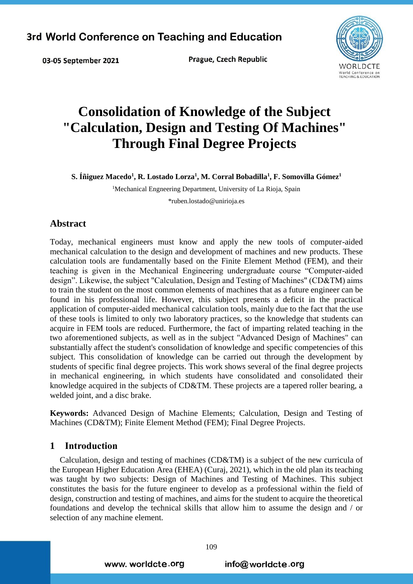Prague, Czech Republic



# **Consolidation of Knowledge of the Subject "Calculation, Design and Testing Of Machines" Through Final Degree Projects**

 $\boldsymbol{\mathrm{S}}$ . Íñiguez Macedo $^1$ , **R.** Lostado Lorza $^1$ , M. Corral Bobadilla $^1$ , F. Somovilla Gómez $^1$ 

<sup>1</sup>Mechanical Engneering Department, University of La Rioja, Spain

\*ruben.lostado@unirioja.es

# **Abstract**

03-05 September 2021

Today, mechanical engineers must know and apply the new tools of computer-aided mechanical calculation to the design and development of machines and new products. These calculation tools are fundamentally based on the Finite Element Method (FEM), and their teaching is given in the Mechanical Engineering undergraduate course "Computer-aided design". Likewise, the subject "Calculation, Design and Testing of Machines" (CD&TM) aims to train the student on the most common elements of machines that as a future engineer can be found in his professional life. However, this subject presents a deficit in the practical application of computer-aided mechanical calculation tools, mainly due to the fact that the use of these tools is limited to only two laboratory practices, so the knowledge that students can acquire in FEM tools are reduced. Furthermore, the fact of imparting related teaching in the two aforementioned subjects, as well as in the subject "Advanced Design of Machines" can substantially affect the student's consolidation of knowledge and specific competencies of this subject. This consolidation of knowledge can be carried out through the development by students of specific final degree projects. This work shows several of the final degree projects in mechanical engineering, in which students have consolidated and consolidated their knowledge acquired in the subjects of CD&TM. These projects are a tapered roller bearing, a welded joint, and a disc brake.

**Keywords:** Advanced Design of Machine Elements; Calculation, Design and Testing of Machines (CD&TM); Finite Element Method (FEM); Final Degree Projects.

# **1 Introduction**

Calculation, design and testing of machines (CD&TM) is a subject of the new curricula of the European Higher Education Area (EHEA) (Curaj, 2021), which in the old plan its teaching was taught by two subjects: Design of Machines and Testing of Machines. This subject constitutes the basis for the future engineer to develop as a professional within the field of design, construction and testing of machines, and aims for the student to acquire the theoretical foundations and develop the technical skills that allow him to assume the design and / or selection of any machine element.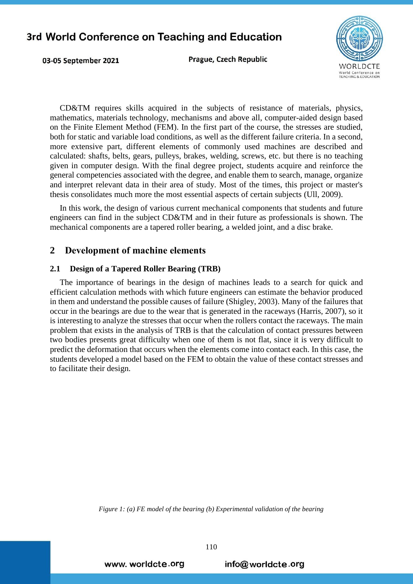03-05 September 2021

Prague, Czech Republic



CD&TM requires skills acquired in the subjects of resistance of materials, physics, mathematics, materials technology, mechanisms and above all, computer-aided design based on the Finite Element Method (FEM). In the first part of the course, the stresses are studied, both for static and variable load conditions, as well as the different failure criteria. In a second, more extensive part, different elements of commonly used machines are described and calculated: shafts, belts, gears, pulleys, brakes, welding, screws, etc. but there is no teaching given in computer design. With the final degree project, students acquire and reinforce the general competencies associated with the degree, and enable them to search, manage, organize and interpret relevant data in their area of study. Most of the times, this project or master's thesis consolidates much more the most essential aspects of certain subjects (Ull, 2009).

In this work, the design of various current mechanical components that students and future engineers can find in the subject CD&TM and in their future as professionals is shown. The mechanical components are a tapered roller bearing, a welded joint, and a disc brake.

## **2 Development of machine elements**

### **2.1 Design of a Tapered Roller Bearing (TRB)**

The importance of bearings in the design of machines leads to a search for quick and efficient calculation methods with which future engineers can estimate the behavior produced in them and understand the possible causes of failure (Shigley, 2003). Many of the failures that occur in the bearings are due to the wear that is generated in the raceways (Harris, 2007), so it is interesting to analyze the stresses that occur when the rollers contact the raceways. The main problem that exists in the analysis of TRB is that the calculation of contact pressures between two bodies presents great difficulty when one of them is not flat, since it is very difficult to predict the deformation that occurs when the elements come into contact each. In this case, the students developed a model based on the FEM to obtain the value of these contact stresses and to facilitate their design.

*Figure 1: (a) FE model of the bearing (b) Experimental validation of the bearing*

www. worldcte.org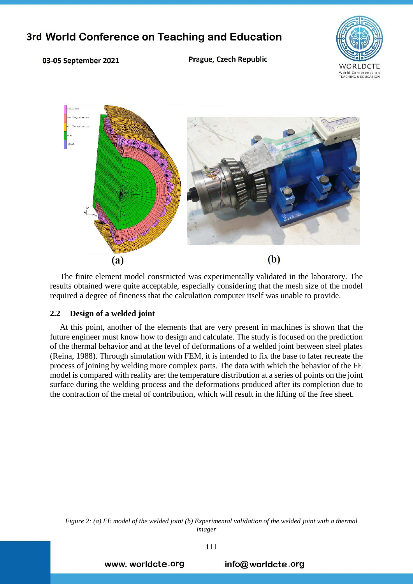

### 03-05 September 2021

Prague, Czech Republic



The finite element model constructed was experimentally validated in the laboratory. The results obtained were quite acceptable, especially considering that the mesh size of the model required a degree of fineness that the calculation computer itself was unable to provide.

### **2.2 Design of a welded joint**

At this point, another of the elements that are very present in machines is shown that the future engineer must know how to design and calculate. The study is focused on the prediction of the thermal behavior and at the level of deformations of a welded joint between steel plates (Reina, 1988). Through simulation with FEM, it is intended to fix the base to later recreate the process of joining by welding more complex parts. The data with which the behavior of the FE model is compared with reality are: the temperature distribution at a series of points on the joint surface during the welding process and the deformations produced after its completion due to the contraction of the metal of contribution, which will result in the lifting of the free sheet.

*Figure 2: (a) FE model of the welded joint (b) Experimental validation of the welded joint with a thermal imager*

www. worldcte.org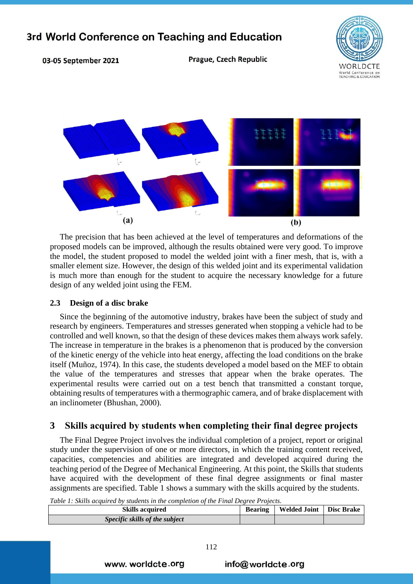VORLDCTE World Conference on<br>TEACHING & EDUCATION

#### 03-05 September 2021

Prague, Czech Republic



The precision that has been achieved at the level of temperatures and deformations of the proposed models can be improved, although the results obtained were very good. To improve the model, the student proposed to model the welded joint with a finer mesh, that is, with a smaller element size. However, the design of this welded joint and its experimental validation is much more than enough for the student to acquire the necessary knowledge for a future design of any welded joint using the FEM.

### **2.3 Design of a disc brake**

Since the beginning of the automotive industry, brakes have been the subject of study and research by engineers. Temperatures and stresses generated when stopping a vehicle had to be controlled and well known, so that the design of these devices makes them always work safely. The increase in temperature in the brakes is a phenomenon that is produced by the conversion of the kinetic energy of the vehicle into heat energy, affecting the load conditions on the brake itself (Muñoz, 1974). In this case, the students developed a model based on the MEF to obtain the value of the temperatures and stresses that appear when the brake operates. The experimental results were carried out on a test bench that transmitted a constant torque, obtaining results of temperatures with a thermographic camera, and of brake displacement with an inclinometer (Bhushan, 2000).

# **3 Skills acquired by students when completing their final degree projects**

The Final Degree Project involves the individual completion of a project, report or original study under the supervision of one or more directors, in which the training content received, capacities, competencies and abilities are integrated and developed acquired during the teaching period of the Degree of Mechanical Engineering. At this point, the Skills that students have acquired with the development of these final degree assignments or final master assignments are specified. Table 1 shows a summary with the skills acquired by the students.

*Table 1: [Skills](#page-4-0) acquired by students in the completion of the Final Degree Projects.*

| <b>Skills acquired</b>         | <b>Bearing</b> | Welded Joint   Disc Brake |  |
|--------------------------------|----------------|---------------------------|--|
| Specific skills of the subject |                |                           |  |

www. worldcte.org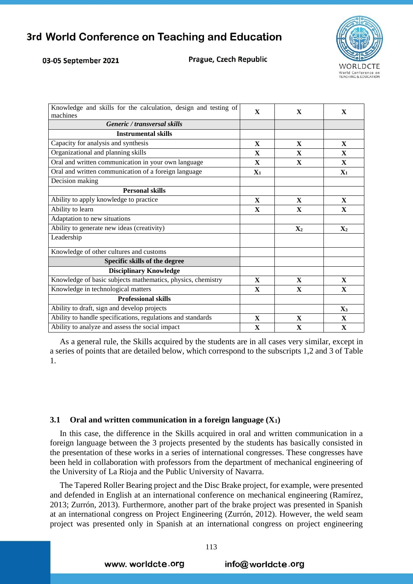#### 03-05 September 2021

<span id="page-4-0"></span>Prague, Czech Republic



| Knowledge and skills for the calculation, design and testing of<br>machines | $\mathbf{X}$   | $\mathbf{X}$   | X              |
|-----------------------------------------------------------------------------|----------------|----------------|----------------|
| Generic / transversal skills                                                |                |                |                |
| <b>Instrumental skills</b>                                                  |                |                |                |
| Capacity for analysis and synthesis                                         | X              | $\mathbf{X}$   | X              |
| Organizational and planning skills                                          | $\mathbf{X}$   | $\mathbf{X}$   | X              |
| Oral and written communication in your own language                         | X              | $\mathbf{X}$   | X              |
| Oral and written communication of a foreign language                        | $\mathbf{X}_1$ |                | $\mathbf{X}_1$ |
| Decision making                                                             |                |                |                |
| <b>Personal skills</b>                                                      |                |                |                |
| Ability to apply knowledge to practice                                      | X              | X              | X              |
| Ability to learn                                                            | X              | $\mathbf{X}$   | $\mathbf{X}$   |
| Adaptation to new situations                                                |                |                |                |
| Ability to generate new ideas (creativity)                                  |                | $\mathbf{X}_2$ | $\mathbf{X}_2$ |
| Leadership                                                                  |                |                |                |
| Knowledge of other cultures and customs                                     |                |                |                |
| Specific skills of the degree                                               |                |                |                |
| <b>Disciplinary Knowledge</b>                                               |                |                |                |
| Knowledge of basic subjects mathematics, physics, chemistry                 | X              | $\mathbf{X}$   | $\mathbf X$    |
| Knowledge in technological matters                                          | $\mathbf X$    | $\mathbf X$    | X              |
| <b>Professional skills</b>                                                  |                |                |                |
| Ability to draft, sign and develop projects                                 |                |                | $\mathbf{X}_3$ |
| Ability to handle specifications, regulations and standards                 | $\mathbf{X}$   | X              | X              |
| Ability to analyze and assess the social impact                             | $\mathbf{X}$   | $\mathbf{X}$   | $\mathbf{X}$   |

As a general rule, the Skills acquired by the students are in all cases very similar, except in a series of points that are detailed below, which correspond to the subscripts 1,2 and 3 of Table 1.

### **3.1 Oral and written communication in a foreign language (X1)**

In this case, the difference in the Skills acquired in oral and written communication in a foreign language between the 3 projects presented by the students has basically consisted in the presentation of these works in a series of international congresses. These congresses have been held in collaboration with professors from the department of mechanical engineering of the University of La Rioja and the Public University of Navarra.

The Tapered Roller Bearing project and the Disc Brake project, for example, were presented and defended in English at an international conference on mechanical engineering (Ramírez, 2013; Zurrón, 2013). Furthermore, another part of the brake project was presented in Spanish at an international congress on Project Engineering (Zurrón, 2012). However, the weld seam project was presented only in Spanish at an international congress on project engineering

www. worldcte.org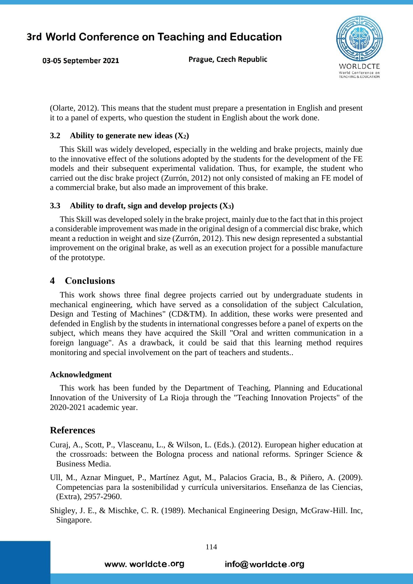Prague, Czech Republic



(Olarte, 2012). This means that the student must prepare a presentation in English and present it to a panel of experts, who question the student in English about the work done.

### **3.2 Ability to generate new ideas (X2)**

This Skill was widely developed, especially in the welding and brake projects, mainly due to the innovative effect of the solutions adopted by the students for the development of the FE models and their subsequent experimental validation. Thus, for example, the student who carried out the disc brake project (Zurrón, 2012) not only consisted of making an FE model of a commercial brake, but also made an improvement of this brake.

#### **3.3 Ability to draft, sign and develop projects (X3)**

This Skill was developed solely in the brake project, mainly due to the fact that in this project a considerable improvement was made in the original design of a commercial disc brake, which meant a reduction in weight and size (Zurrón, 2012). This new design represented a substantial improvement on the original brake, as well as an execution project for a possible manufacture of the prototype.

# **4 Conclusions**

03-05 September 2021

This work shows three final degree projects carried out by undergraduate students in mechanical engineering, which have served as a consolidation of the subject Calculation, Design and Testing of Machines" (CD&TM). In addition, these works were presented and defended in English by the students in international congresses before a panel of experts on the subject, which means they have acquired the Skill "Oral and written communication in a foreign language". As a drawback, it could be said that this learning method requires monitoring and special involvement on the part of teachers and students..

#### **Acknowledgment**

This work has been funded by the Department of Teaching, Planning and Educational Innovation of the University of La Rioja through the "Teaching Innovation Projects" of the 2020-2021 academic year.

### **References**

- Curaj, A., Scott, P., Vlasceanu, L., & Wilson, L. (Eds.). (2012). European higher education at the crossroads: between the Bologna process and national reforms. Springer Science & Business Media.
- Ull, M., Aznar Minguet, P., Martínez Agut, M., Palacios Gracia, B., & Piñero, A. (2009). Competencias para la sostenibilidad y currícula universitarios. Enseñanza de las Ciencias, (Extra), 2957-2960.
- Shigley, J. E., & Mischke, C. R. (1989). Mechanical Engineering Design, McGraw-Hill. Inc, Singapore.